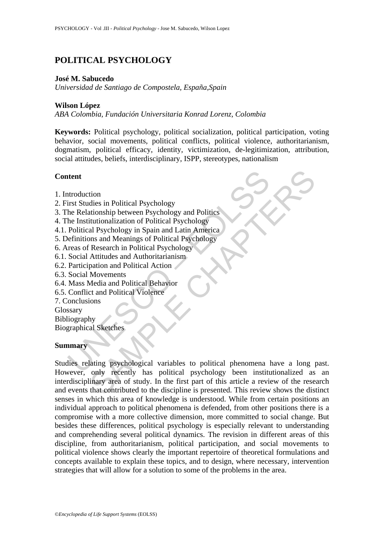# **POLITICAL PSYCHOLOGY**

### **José M. Sabucedo**

*Universidad de Santiago de Compostela, España,Spain* 

## **Wilson López**

*ABA Colombia, Fundación Universitaria Konrad Lorenz, Colombia* 

**Keywords:** Political psychology, political socialization, political participation, voting behavior, social movements, political conflicts, political violence, authoritarianism, dogmatism, political efficacy, identity, victimization, de-legitimization, attribution, social attitudes, beliefs, interdisciplinary, ISPP, stereotypes, nationalism

# **Content**

- 1. Introduction
- 2. First Studies in Political Psychology
- 3. The Relationship between Psychology and Politics
- 4. The Institutionalization of Political Psychology
- 4.1. Political Psychology in Spain and Latin America
- 5. Definitions and Meanings of Political Psychology
- 6. Areas of Research in Political Psychology
- 6.1. Social Attitudes and Authoritarianism
- 6.2. Participation and Political Action
- 6.3. Social Movements
- 6.4. Mass Media and Political Behavior
- 6.5. Conflict and Political Violence
- 7. Conclusions
- Glossary
- Bibliography

Biographical Sketches

#### **Summary**

**Example 18 Alternative School Server Conservance School Server Alternative School (Server Alternative School Server)**<br>The Relationship between Psychology and Politics<br>The Institutionalization of Political Psychology<br>Polit The model of the model of the discussion of Political Psychology<br>
and Psychology<br>
and Psychology in Spain and Latin America<br>
Sharehology in Spain and Latin America<br>
The search in Political Psychology<br>
Attitudes and Authori Studies relating psychological variables to political phenomena have a long past. However, only recently has political psychology been institutionalized as an interdisciplinary area of study. In the first part of this article a review of the research and events that contributed to the discipline is presented. This review shows the distinct senses in which this area of knowledge is understood. While from certain positions an individual approach to political phenomena is defended, from other positions there is a compromise with a more collective dimension, more committed to social change. But besides these differences, political psychology is especially relevant to understanding and comprehending several political dynamics. The revision in different areas of this discipline, from authoritarianism, political participation, and social movements to political violence shows clearly the important repertoire of theoretical formulations and concepts available to explain these topics, and to design, where necessary, intervention strategies that will allow for a solution to some of the problems in the area.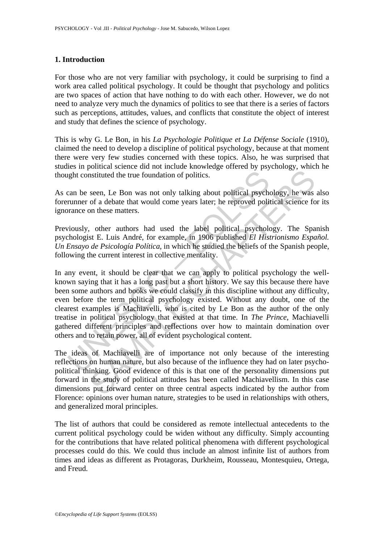# **1. Introduction**

For those who are not very familiar with psychology, it could be surprising to find a work area called political psychology. It could be thought that psychology and politics are two spaces of action that have nothing to do with each other. However, we do not need to analyze very much the dynamics of politics to see that there is a series of factors such as perceptions, attitudes, values, and conflicts that constitute the object of interest and study that defines the science of psychology.

This is why G. Le Bon, in his *La Psychologie Politique et La Défense Sociale* (1910), claimed the need to develop a discipline of political psychology, because at that moment there were very few studies concerned with these topics. Also, he was surprised that studies in political science did not include knowledge offered by psychology, which he thought constituted the true foundation of politics.

As can be seen, Le Bon was not only talking about political psychology, he was also forerunner of a debate that would come years later; he reproved political science for its ignorance on these matters.

Previously, other authors had used the label political psychology. The Spanish psychologist E. Luis André, for example, in 1906 published *El Histrionismo Español. Un Ensayo de Psicología Política*, in which he studied the beliefs of the Spanish people, following the current interest in collective mentality.

light constituted the true foundation of politics.<br>
can be seen, Le Bon was not only talking about political psycher<br>
runner of a debtae that would come years later; he reproved polit<br>
rance on these matters.<br>
viously, ot Instituted the true foundation of politics.<br>
seen, Le Bon was not only talking about political psychology, he was<br>
of a debate that would come years later; he reproved political science fo<br>
on these matters.<br>
, other auth In any event, it should be clear that we can apply to political psychology the wellknown saying that it has a long past but a short history. We say this because there have been some authors and books we could classify in this discipline without any difficulty, even before the term political psychology existed. Without any doubt, one of the clearest examples is Machiavelli, who is cited by Le Bon as the author of the only treatise in political psychology that existed at that time. In *The Prince*, Machiavelli gathered different principles and reflections over how to maintain domination over others and to retain power, all of evident psychological content.

The ideas of Machiavelli are of importance not only because of the interesting reflections on human nature, but also because of the influence they had on later psychopolitical thinking. Good evidence of this is that one of the personality dimensions put forward in the study of political attitudes has been called Machiavellism. In this case dimensions put forward center on three central aspects indicated by the author from Florence: opinions over human nature, strategies to be used in relationships with others, and generalized moral principles.

The list of authors that could be considered as remote intellectual antecedents to the current political psychology could be widen without any difficulty. Simply accounting for the contributions that have related political phenomena with different psychological processes could do this. We could thus include an almost infinite list of authors from times and ideas as different as Protagoras, Durkheim, Rousseau, Montesquieu, Ortega, and Freud.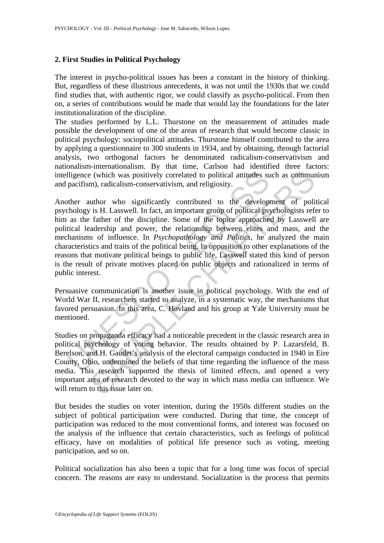# **2. First Studies in Political Psychology**

The interest in psycho-political issues has been a constant in the history of thinking. But, regardless of these illustrious antecedents, it was not until the 1930s that we could find studies that, with authentic rigor, we could classify as psycho-political. From then on, a series of contributions would be made that would lay the foundations for the later institutionalization of the discipline.

The studies performed by L.L. Thurstone on the measurement of attitudes made possible the development of one of the areas of research that would become classic in political psychology: sociopolitical attitudes. Thurstone himself contributed to the area by applying a questionnaire to 300 students in 1934, and by obtaining, through factorial analysis, two orthogonal factors he denominated radicalism-conservativism and nationalism-internationalism. By that time, Carlson had identified three factors: intelligence (which was positively correlated to political attitudes such as communism and pacifism), radicalism-conservativism, and religiosity.

lligence (which was positively correlated to political attitudes supacifism), radicalism-conservativism, and religiosity.<br>
ther author who significantly contributed to the developy<br>
ther author who significantly contribute e (which was positively correlated to political attitudes such as commun), radicalism-conservativism, and religiosity.<br>
unthor who significantly contributed to the development of political is H. Lasswell. In fact, an impor Another author who significantly contributed to the development of political psychology is H. Lasswell. In fact, an important group of political psychologists refer to him as the father of the discipline. Some of the topics approached by Lasswell are political leadership and power, the relationship between elites and mass, and the mechanisms of influence. In *Psychopathology and Politics*, he analyzed the main characteristics and traits of the political being. In opposition to other explanations of the reasons that motivate political beings to public life, Lasswell stated this kind of person is the result of private motives placed on public objects and rationalized in terms of public interest.

Persuasive communication is another issue in political psychology. With the end of World War II, researchers started to analyze, in a systematic way, the mechanisms that favored persuasion. In this area, C. Hovland and his group at Yale University must be mentioned.

Studies on propaganda efficacy had a noticeable precedent in the classic research area in political psychology of voting behavior. The results obtained by P. Lazarsfeld, B. Berelson, and H. Gaudet's analysis of the electoral campaign conducted in 1940 in Eire County, Ohio, undermined the beliefs of that time regarding the influence of the mass media. This research supported the thesis of limited effects, and opened a very important area of research devoted to the way in which mass media can influence. We will return to this issue later on.

But besides the studies on voter intention, during the 1950s different studies on the subject of political participation were conducted. During that time, the concept of participation was reduced to the most conventional forms, and interest was focused on the analysis of the influence that certain characteristics, such as feelings of political efficacy, have on modalities of political life presence such as voting, meeting participation, and so on.

Political socialization has also been a topic that for a long time was focus of special concern. The reasons are easy to understand. Socialization is the process that permits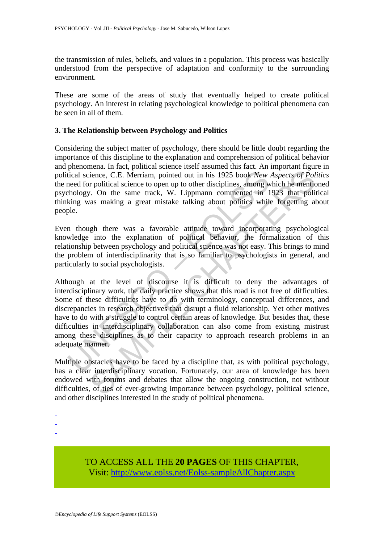the transmission of rules, beliefs, and values in a population. This process was basically understood from the perspective of adaptation and conformity to the surrounding environment.

These are some of the areas of study that eventually helped to create political psychology. An interest in relating psychological knowledge to political phenomena can be seen in all of them.

## **3. The Relationship between Psychology and Politics**

Considering the subject matter of psychology, there should be little doubt regarding the importance of this discipline to the explanation and comprehension of political behavior and phenomena. In fact, political science itself assumed this fact. An important figure in political science, C.E. Merriam, pointed out in his 1925 book *New Aspects of Politics* the need for political science to open up to other disciplines, among which he mentioned psychology. On the same track, W. Lippmann commented in 1923 that political thinking was making a great mistake talking about politics while forgetting about people.

Even though there was a favorable attitude toward incorporating psychological knowledge into the explanation of political behavior, the formalization of this relationship between psychology and political science was not easy. This brings to mind the problem of interdisciplinarity that is so familiar to psychologists in general, and particularly to social psychologists.

itical science, C.E. Merriam, pointed out in his 1925 book *New*<br>tical science, C.E. Merriam, pointed out in his 1925 book *New*<br>meed for political science to open up to other disciplines, among w<br>hology. On the same track ience, C.E. Merriam, pointed out in his 1925 book *New Aspects of Political science*, C.E. Merriam, pointed out in his 1925 book *New Aspects of Political science* to open up to other disciplines, among which he mention. Although at the level of discourse it is difficult to deny the advantages of interdisciplinary work, the daily practice shows that this road is not free of difficulties. Some of these difficulties have to do with terminology, conceptual differences, and discrepancies in research objectives that disrupt a fluid relationship. Yet other motives have to do with a struggle to control certain areas of knowledge. But besides that, these difficulties in interdisciplinary collaboration can also come from existing mistrust among these disciplines as to their capacity to approach research problems in an adequate manner.

Multiple obstacles have to be faced by a discipline that, as with political psychology, has a clear interdisciplinary vocation. Fortunately, our area of knowledge has been endowed with forums and debates that allow the ongoing construction, not without difficulties, of ties of ever-growing importance between psychology, political science, and other disciplines interested in the study of political phenomena.

- -
- -

TO ACCESS ALL THE **20 PAGES** OF THIS CHAPTER, Visit[: http://www.eolss.net/Eolss-sampleAllChapter.aspx](https://www.eolss.net/ebooklib/sc_cart.aspx?File=E6-27-07-05)

<sup>-</sup>